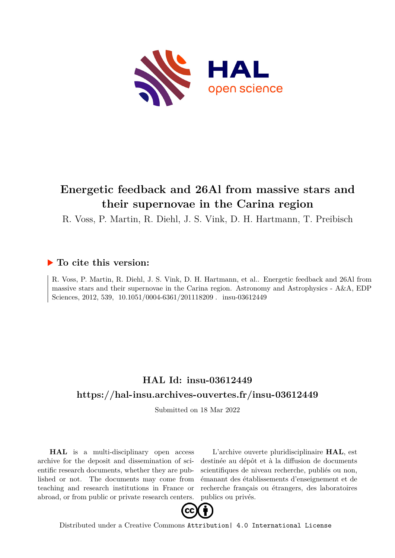

# **Energetic feedback and 26Al from massive stars and their supernovae in the Carina region**

R. Voss, P. Martin, R. Diehl, J. S. Vink, D. H. Hartmann, T. Preibisch

## **To cite this version:**

R. Voss, P. Martin, R. Diehl, J. S. Vink, D. H. Hartmann, et al.. Energetic feedback and 26Al from massive stars and their supernovae in the Carina region. Astronomy and Astrophysics - A&A, EDP Sciences, 2012, 539, 10.1051/0004-6361/201118209. insu-03612449

## **HAL Id: insu-03612449 <https://hal-insu.archives-ouvertes.fr/insu-03612449>**

Submitted on 18 Mar 2022

**HAL** is a multi-disciplinary open access archive for the deposit and dissemination of scientific research documents, whether they are published or not. The documents may come from teaching and research institutions in France or abroad, or from public or private research centers.

L'archive ouverte pluridisciplinaire **HAL**, est destinée au dépôt et à la diffusion de documents scientifiques de niveau recherche, publiés ou non, émanant des établissements d'enseignement et de recherche français ou étrangers, des laboratoires publics ou privés.



Distributed under a Creative Commons [Attribution| 4.0 International License](http://creativecommons.org/licenses/by/4.0/)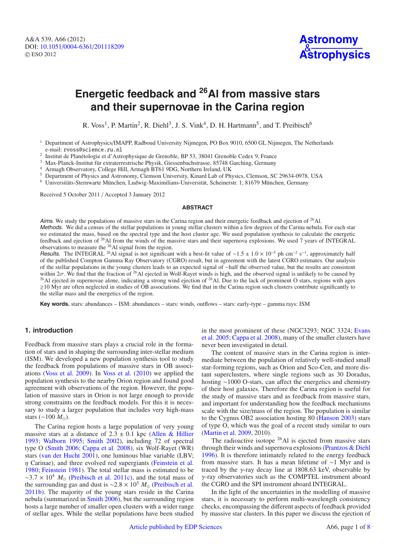## **Energetic feedback and 26Al from massive stars and their supernovae in the Carina region**

R. Voss<sup>1</sup>, P. Martin<sup>2</sup>, R. Diehl<sup>3</sup>, J. S. Vink<sup>4</sup>, D. H. Hartmann<sup>5</sup>, and T. Preibisch<sup>6</sup>

- <sup>1</sup> Department of Astrophysics/IMAPP, Radboud University Nijmegen, PO Box 9010, 6500 GL Nijmegen, The Netherlands e-mail: rvoss@science.ru.nl
- <sup>2</sup> Institut de Planétologie et d'Astrophysique de Grenoble, BP 53, 38041 Grenoble Cedex 9, France
- <sup>3</sup> Max-Planck-Institut für extraterrestrische Physik, Giessenbachstrasse, 85748 Garching, Germany

<sup>4</sup> Armagh Observatory, College Hill, Armagh BT61 9DG, Northern Ireland, UK<br><sup>5</sup> Department of Physics and Astronomy, Clamson University, Kinord Lab of Physics

<sup>5</sup> Department of Physics and Astronomy, Clemson University, Kinard Lab of Physics, Clemson, SC 29634-0978, USA

<sup>6</sup> Universitäts-Sternwarte München, Ludwig-Maximilians-Universität, Scheinerstr. 1, 81679 München, Germany

Received 5 October 2011 / Accepted 3 January 2012

#### **ABSTRACT**

Aims. We study the populations of massive stars in the Carina region and their energetic feedback and ejection of  $^{26}$ Al. Methods. We did a census of the stellar populations in young stellar clusters within a few degrees of the Carina nebula. For each star we estimated the mass, based on the spectral type and the host cluster age. We used population synthesis to calculate the energetic feedback and ejection of 26Al from the winds of the massive stars and their supernova explosions. We used 7 years of INTEGRAL observations to measure the 26Al signal from the region.

Results. The INTEGRAL <sup>26</sup>Al signal is not significant with a best-fit value of ~1.5 ± 1.0 × 10<sup>-5</sup> ph cm<sup>-2</sup> s<sup>-1</sup>, approximately half of the published Compton Gamma Ray Observatory (CGRO) result, but in agreement with the latest CGRO estimates. Our analysis of the stellar populations in the young clusters leads to an expected signal of ∼half the observed value, but the results are consistent within  $2\sigma$ . We find that the fraction of <sup>26</sup>Al ejected in Wolf-Rayet winds is high, and the observed signal is unlikely to be caused by <sup>26</sup>Al ejected in supernovae alone, indicating a strong wind ejection of <sup>26</sup>Al. Due to the lack of prominent O stars, regions with ages -10 Myr are often neglected in studies of OB associations. We find that in the Carina region such clusters contribute significantly to the stellar mass and the energetics of the region.

**Key words.** stars: abundances – ISM: abundances – stars: winds, outflows – stars: early-type – gamma rays: ISM

### **1. introduction**

Feedback from massive stars plays a crucial role in the formation of stars and in shaping the surrounding inter-stellar medium (ISM). We developed a new population synthesis tool to study the feedback from populations of massive stars in OB associations (Voss et al. 2009). In Voss et al. (2010) we applied the population synthesis to the nearby Orion region and found good agreement with observations of the region. However, the population of massive stars in Orion is not large enough to provide strong constraints on the feedback models. For this it is necessary to study a larger population that includes very high-mass stars (∼100  $M_{\odot}$ ).

The Carina region hosts a large population of very young massive stars at a distance of  $2.3 \pm 0.1$  kpc (Allen & Hillier 1993; Walborn 1995; Smith 2002), including 72 of spectral type O (Smith 2006; Cappa et al. 2008), six Wolf-Rayet (WR) stars (van der Hucht 2001), one luminous blue variable (LBV;  $\eta$  Carinae), and three evolved red supergiants (Feinstein et al. 1980; Feinstein 1981). The total stellar mass is estimated to be  $\sim$ 3.7 × 10<sup>4</sup>  $M_{\odot}$  (Preibisch et al. 2011c), and the total mass of the surrounding gas and dust is ~2.8 × 10<sup>5</sup>  $M_{\odot}$  (Preibisch et al. 2011b). The majority of the young stars reside in the Carina nebula (summarized in Smith 2006), but the surrounding region hosts a large number of smaller open clusters with a wider range of stellar ages. While the stellar populations have been studied in the most prominent of these (NGC3293; NGC 3324; Evans et al. 2005; Cappa et al. 2008), many of the smaller clusters have never been investigated in detail.

The content of massive stars in the Carina region is intermediate between the population of relatively well-studied small star-forming regions, such as Orion and Sco-Cen, and more distant superclusters, where single regions such as 30 Doradus, hosting ∼1000 O-stars, can affect the energetics and chemistry of their host galaxies. Therefore the Carina region is useful for the study of massive stars and as feedback from massive stars, and important for understanding how the feedback mechanisms scale with the size/mass of the region. The population is similar to the Cygnus OB2 association hosting 80 (Hanson 2003) stars of type O, which was the goal of a recent study similar to ours (Martin et al. 2009, 2010).

The radioactive isotope  $^{26}$ Al is ejected from massive stars through their winds and supernova explosions (Prantzos & Diehl 1996). It is therefore intimately related to the energy feedback from massive stars. It has a mean lifetime of ∼1 Myr and is traced by the  $\gamma$ -ray decay line at 1808.63 keV, observable by γ-ray observatories such as the COMPTEL instrument aboard the CGRO and the SPI instrument aboard INTEGRAL.

In the light of the uncertainties in the modelling of massive stars, it is necessary to perform multi-wavelength consistency checks, encompassing the different aspects of feedback provided by massive star clusters. In this paper we discuss the ejection of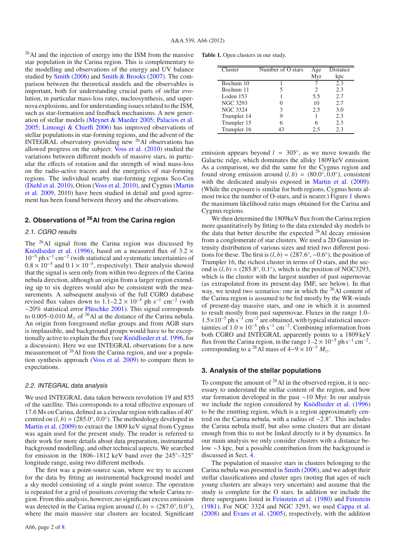$^{26}$ Al and the injection of energy into the ISM from the massive star population in the Carina region. This is complementary to the modelling and observations of the energy and UV balance studied by Smith (2006) and Smith & Brooks (2007). The comparison between the theoretical models and the observables is important, both for understanding crucial parts of stellar evolution, in particular mass-loss rates, nucleosynthesis, and supernova explosions, and for understanding issues related to the ISM, such as star-formation and feedback mechanisms. A new generation of stellar models (Meynet & Maeder 2005; Palacios et al. 2005; Limongi & Chieffi 2006) has improved observations of stellar populations in star-forming regions, and the advent of the INTEGRAL observatory providing new 26Al observations has allowed progress on the subject: Voss et al. (2010) studied the variations between different models of massive stars, in particular the effects of rotation and the strength of wind mass-loss on the radio-active tracers and the energetics of star-forming regions. The individual nearby star-forming regions Sco-Cen (Diehl et al. 2010), Orion (Voss et al. 2010), and Cygnus (Martin et al. 2009, 2010) have been studied in detail and good agreement has been found between theory and the observations.

## **2. Observations of 26Al from the Carina region**

#### 2.1. CGRO results

The <sup>26</sup>Al signal from the Carina region was discussed by Knödlseder et al. (1996), based on a measured flux of  $3.2 \times$  $10^{-5}$  ph s<sup>-1</sup> cm<sup>-2</sup> (with statistical and systematic uncertainties of  $0.8 \times 10^{-5}$  and  $0.1 \times 10^{-5}$ , respectively). Their analysis showed that the signal is seen only from within two degrees of the Carina nebula direction, although an origin from a larger region extending up to six degrees would also be consistent with the measurements. A subsequent analysis of the full CGRO database revised flux values down to  $1.1-2.2 \times 10^{-5}$  ph s<sup>-1</sup> cm<sup>-2</sup> (with ∼20% statistical error Plüschke 2001). This signal corresponds to  $0.005-0.010 M_{\odot}$  of <sup>26</sup>Al at the distance of the Carina nebula. An origin from foreground stellar groups and from AGB stars is implausible, and background groups would have to be exceptionally active to explain the flux (see Knödlseder et al. 1996, for a discussion). Here we use INTEGRAL observations for a new measurement of 26Al from the Carina region, and use a population synthesis approach (Voss et al. 2009) to compare them to expectations.

#### 2.2. INTEGRAL data analysis

We used INTEGRAL data taken between revolution 19 and 855 of the satellite. This corresponds to a total effective exposure of 17.6 Ms on Carina, defined as a circular region with radius of 40◦ centred on  $(l, b) = (285.0°, 0.0°)$ . The methodology developed in Martin et al. (2009) to extract the 1809 keV signal from Cygnus was again used for the present study. The reader is referred to their work for more details about data preparation, instrumental background modelling, and other technical aspects. We searched for emission in the 1806–1812 keV band over the  $245^{\circ}$ –325° longitude range, using two different methods.

The first was a point-source scan, where we try to account for the data by fitting an instrumental background model and a sky model consisting of a single point source. The operation is repeated for a grid of positions covering the whole Carina region. From this analysis, however, no significant excess emission was detected in the Carina region around  $(l, b) = (287.0°, 0.0°)$ , where the main massive star clusters are located. Significant

|  | <b>Table 1.</b> Open clusters in our study. |  |  |
|--|---------------------------------------------|--|--|
|  |                                             |  |  |

| Cluster         | Number of O stars | Age | <b>Distance</b> |
|-----------------|-------------------|-----|-----------------|
|                 |                   | Myr | kpc             |
| Bochum 10       |                   |     | 2.3             |
| Bochum 11       |                   | 2   | 2.3             |
| Loden 153       |                   | 5.5 | 2.7             |
| <b>NGC 3293</b> |                   | 10  | 2.7             |
| <b>NGC 3324</b> |                   | 2.5 | 3.0             |
| Trumpler 14     |                   |     | 2.3             |
| Trumpler 15     |                   |     | 2.3             |
| Trumpler 16     | 43                | 2.5 | 2.3             |

emission appears beyond  $l = 305°$ , as we move towards the Galactic ridge, which dominates the allsky 1809 keV emission. As a comparison, we did the same for the Cygnus region and found strong emission around  $(l, b) = (80.0°, 0.0°)$ , consistent with the dedicated analysis exposed in Martin et al. (2009). (While the exposure is similar for both regions, Cygnus hosts almost twice the number of O-stars, and is nearer.) Figure 1 shows the maximum likelihood ratio maps obtained for the Carina and Cygnus regions.

We then determined the 1809keV flux from the Carina region more quantitatively by fitting to the data extended sky models to the data that better describe the expected 26Al decay emission from a conglomerate of star clusters. We used a 2D Gaussian intensity distribution of various sizes and tried two different positions for these. The first is  $(l, b) = (287.6°, -0.6°)$ , the position of Trumpler 16, the richest cluster in terms of O stars, and the second is  $(l, b) = (285.8°, 0.1°)$ , which is the position of NGC3293, which is the cluster with the largest number of past supernovae (as extrapolated from its present-day IMF, see below). In that way, we tested two scenarios: one in which the <sup>26</sup>Al content of the Carina region is assumed to be fed mostly by the WR-winds of present-day massive stars, and one in which it is assumed to result mostly from past supernovae. Fluxes in the range 1.0–  $1.5\times10^{-5}$  ph s<sup>-1</sup> cm<sup>-2</sup> are obtained, with typical statistical uncertainties of  $1.0 \times 10^{-5}$  ph s<sup>-1</sup> cm<sup>-2</sup>. Combining information from both CGRO and INTEGRAL apparently points to a 1809 keV flux from the Carina region, in the range  $1-2 \times 10^{-5}$  ph s<sup>-1</sup> cm<sup>-2</sup>, corresponding to a <sup>26</sup>Al mass of  $4-9 \times 10^{-3}$   $M_{\odot}$ .

## **3. Analysis of the stellar populations**

To compute the amount of  $26$ Al in the observed region, it is necessary to understand the stellar content of the region, and how star formation developed in the past ∼10 Myr. In our analysis we include the region considered by Knödlseder et al. (1996) to be the emitting region, which is a region approximately centred on the Carina nebula, with a radius of ∼2.8◦. This includes the Carina nebula itself, but also some clusters that are distant enough from this to not be linked directly to it by dynamics. In our main analysis we only consider clusters with a distance below ∼3 kpc, but a possible contribution from the background is discussed in Sect. 4.

The population of massive stars in clusters belonging to the Carina nebula was presented in Smith (2006), and we adopt their stellar classifications and cluster ages (noting that ages of such young clusters are always very uncertain) and assume that the study is complete for the O stars. In addition we include the three supergiants listed in Feinstein et al. (1980) and Feinstein (1981). For NGC 3324 and NGC 3293, we used Cappa et al. (2008) and Evans et al. (2005), respectively, with the addition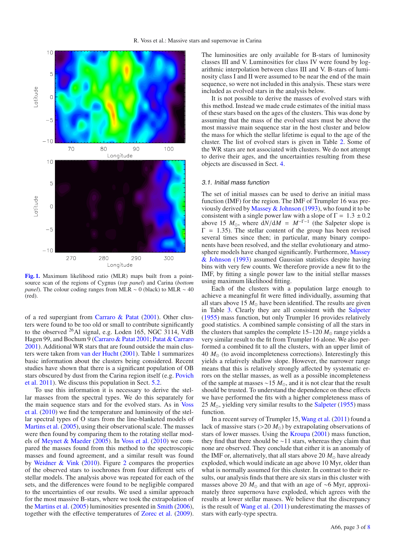

**[Fig. 1.](http://dexter.edpsciences.org/applet.php?DOI=10.1051/0004-6361/201118209&pdf_id=1)** Maximum likelihood ratio (MLR) maps built from a pointsource scan of the regions of Cygnus (*top panel*) and Carina (*bottom panel*). The colour coding ranges from MLR ∼ 0 (black) to MLR ∼ 40 (red).

of a red supergiant from Carraro & Patat (2001). Other clusters were found to be too old or small to contribute significantly to the observed  $^{26}$ Al signal, e.g. Loden 165, NGC 3114, VdB Hagen 99, and Bochum 9 (Carraro & Patat 2001; Patat & Carraro 2001). Additional WR stars that are found outside the main clusters were taken from van der Hucht (2001). Table 1 summarizes basic information about the clusters being considered. Recent studies have shown that there is a significant population of OB stars obscured by dust from the Carina region itself (e.g. Povich et al. 2011). We discuss this population in Sect. 5.2.

To use this information it is necessary to derive the stellar masses from the spectral types. We do this separately for the main sequence stars and for the evolved stars. As in Voss et al. (2010) we find the temperature and luminosity of the stellar spectral types of O stars from the line-blanketed models of Martins et al. (2005), using their observational scale. The masses were then found by comparing them to the rotating stellar models of Meynet & Maeder (2005). In Voss et al. (2010) we compared the masses found from this method to the spectroscopic masses and found agreement, and a similar result was found by Weidner & Vink (2010). Figure 2 compares the properties of the observed stars to isochrones from four different sets of stellar models. The analysis above was repeated for each of the sets, and the differences were found to be negligible compared to the uncertainties of our results. We used a similar approach for the most massive B-stars, where we took the extrapolation of the Martins et al. (2005) luminosities presented in Smith (2006), together with the effective temperatures of Zorec et al. (2009). The luminosities are only available for B-stars of luminosity classes III and V. Luminosities for class IV were found by logarithmic interpolation between class III and V. B-stars of luminosity class I and II were assumed to be near the end of the main sequence, so were not included in this analysis. These stars were included as evolved stars in the analysis below.

It is not possible to derive the masses of evolved stars with this method. Instead we made crude estimates of the initial mass of these stars based on the ages of the clusters. This was done by assuming that the mass of the evolved stars must be above the most massive main sequence star in the host cluster and below the mass for which the stellar lifetime is equal to the age of the cluster. The list of evolved stars is given in Table 2. Some of the WR stars are not associated with clusters. We do not attempt to derive their ages, and the uncertainties resulting from these objects are discussed in Sect. 4.

#### 3.1. Initial mass function

The set of initial masses can be used to derive an initial mass function (IMF) for the region. The IMF of Trumpler 16 was previously derived by Massey & Johnson (1993), who found it to be consistent with a single power law with a slope of  $\Gamma = 1.3 \pm 0.2$ above 15  $M_{\odot}$ , where  $dN/dM = M^{-\Gamma-1}$  (the Salpeter slope is  $\Gamma = 1.35$ ). The stellar content of the group has been revised several times since then; in particular, many binary components have been resolved, and the stellar evolutionary and atmosphere models have changed significantly. Furthermore, Massey & Johnson (1993) assumed Gaussian statistics despite having bins with very few counts. We therefore provide a new fit to the IMF, by fitting a single power law to the initial stellar masses using maximum likelihood fitting.

Each of the clusters with a population large enough to achieve a meaningful fit were fitted individually, assuming that all stars above 15  $M_{\odot}$  have been identified. The results are given in Table 3. Clearly they are all consistent with the Salpeter (1955) mass function, but only Trumpler 16 provides relatively good statistics. A combined sample consisting of all the stars in the clusters that samples the complete  $15-120 M_{\odot}$  range yields a very similar result to the fit from Trumpler 16 alone. We also performed a combined fit to all the clusters, with an upper limit of  $40 M_{\odot}$  (to avoid incompleteness corrections). Interestingly this yields a relatively shallow slope. However, the narrower range means that this is relatively strongly affected by systematic errors on the stellar masses, as well as a possible incompleteness of the sample at masses ~15 *M*<sub>⊙</sub>, and it is not clear that the result should be trusted. To understand the dependence on these effects we have performed the fits with a higher completeness mass of 25  $M_{\odot}$ , yielding very similar results to the Salpeter (1955) mass function.

In a recent survey of Trumpler 15, Wang et al. (2011) found a lack of massive stars ( $>$ 20  $M_{\odot}$ ) by extrapolating observations of stars of lower masses. Using the Kroupa (2001) mass function, they find that there should be ∼11 stars, whereas they claim that none are observed. They conclude that either it is an anomaly of the IMF or, alternatively, that all stars above 20  $M_{\odot}$  have already exploded, which would indicate an age above 10 Myr, older than what is normally assumed for this cluster. In contrast to their results, our analysis finds that there are six stars in this cluster with masses above 20  $M_{\odot}$  and that with an age of ∼6 Myr, approximately three supernova have exploded, which agrees with the results at lower stellar masses. We believe that the discrepancy is the result of Wang et al. (2011) underestimating the masses of stars with early-type spectra.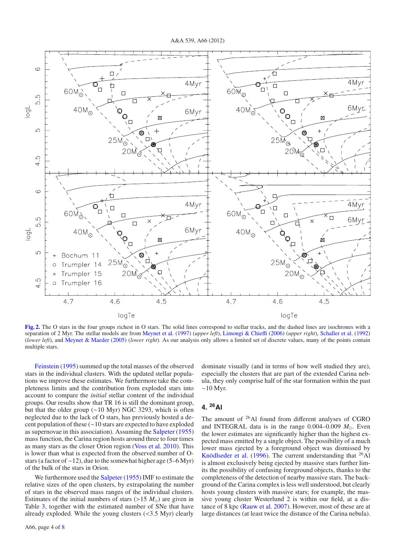A&A 539, A66 (2012)



**[Fig. 2.](http://dexter.edpsciences.org/applet.php?DOI=10.1051/0004-6361/201118209&pdf_id=2)** The O stars in the four groups richest in O stars. The solid lines correspond to stellar tracks, and the dashed lines are isochrones with a separation of 2 Myr. The stellar models are from Meynet et al. (1997) (*upper left*), Limongi & Chieffi (2006) (*upper right*), Schaller et al. (1992) (*lower left*), and Meynet & Maeder (2005) (*lower right*). As our analysis only allows a limited set of discrete values, many of the points contain multiple stars.

Feinstein (1995) summed up the total masses of the observed stars in the individual clusters. With the updated stellar populations we improve these estimates. We furthermore take the completeness limits and the contribution from exploded stars into account to compare the *initial* stellar content of the individual groups. Our results show that TR 16 is still the dominant group, but that the older group (∼10 Myr) NGC 3293, which is often neglected due to the lack of O stars, has previously hosted a decent population of these (∼10 stars are expected to have exploded as supernovae in this association). Assuming the Salpeter (1955) mass function, the Carina region hosts around three to four times as many stars as the closer Orion region (Voss et al. 2010). This is lower than what is expected from the observed number of Ostars (a factor of ∼12), due to the somewhat higher age (5–6 Myr) of the bulk of the stars in Orion.

We furthermore used the Salpeter (1955) IMF to estimate the relative sizes of the open clusters, by extrapolating the number of stars in the observed mass ranges of the individual clusters. Estimates of the initial numbers of stars  $(>15 M<sub>o</sub>)$  are given in Table 3, together with the estimated number of SNe that have already exploded. While the young clusters  $( $3.5 \text{ Myr}$ ) clearly$  dominate visually (and in terms of how well studied they are), especially the clusters that are part of the extended Carina nebula, they only comprise half of the star formation within the past  $~\sim$ 10 Myr.

## **4. 26Al**

The amount of 26Al found from different analyses of CGRO and INTEGRAL data is in the range  $0.004-0.009$   $M_{\odot}$ . Even the lower estimates are significantly higher than the highest expected mass emitted by a single object. The possibility of a much lower mass ejected by a foreground object was dismissed by Knödlseder et al. (1996). The current understanding that  $^{26}$ Al is almost exclusively being ejected by massive stars further limits the possibility of confusing foreground objects, thanks to the completeness of the detection of nearby massive stars. The background of the Carina complex is less well understood, but clearly hosts young clusters with massive stars; for example, the massive young cluster Westerlund 2 is within our field, at a distance of 8 kpc (Rauw et al. 2007). However, most of these are at large distances (at least twice the distance of the Carina nebula).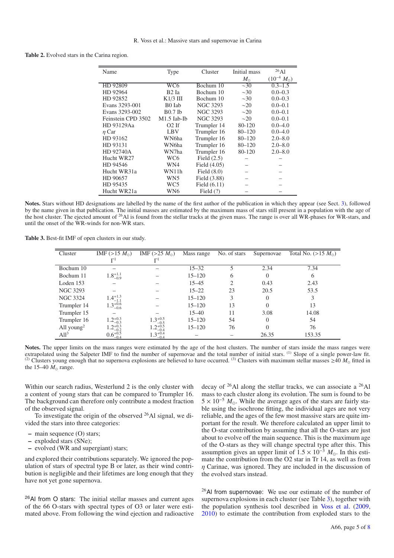| Name               | <b>Type</b>        | Cluster         | Initial mass | $^{26}$ Al            |
|--------------------|--------------------|-----------------|--------------|-----------------------|
|                    |                    |                 | $M_{\odot}$  | $(10^{-4} M_{\odot})$ |
| HD 92809           | WC6                | Bochum 10       | $\sim$ 30    | $0.3 - 1.5$           |
| HD 92964           | B2 Ia              | Bochum 10       | $\sim$ 30    | $0.0 - 0.3$           |
| HD 92852           | $K1/3$ III         | Bochum 10       | $\sim$ 30    | $0.0 - 0.3$           |
| Evans 3293-001     | B <sub>0</sub> Iab | <b>NGC 3293</b> | $\sim$ 20    | $0.0 - 0.1$           |
| Evans 3293-002     | $B0.7$ Ib          | <b>NGC 3293</b> | $\sim$ 20    | $0.0 - 0.1$           |
| Feinstein CPD 3502 | M1.5 Iab-Ib        | <b>NGC 3293</b> | $\sim$ 20    | $0.0 - 0.1$           |
| HD 93129Aa         | $O2$ If            | Trumpler 14     | 80-120       | $0.0 - 4.0$           |
| $\eta$ Car         | LBV                | Trumpler 16     | $80 - 120$   | $0.0 - 4.0$           |
| HD 93162           | WN6ha              | Trumpler 16     | $80 - 120$   | $2.0 - 8.0$           |
| HD 93131           | WN6ha              | Trumpler 16     | $80 - 120$   | $2.0 - 8.0$           |
| HD 92740A          | WN7ha              | Trumpler 16     | 80-120       | $2.0 - 8.0$           |
| Hucht WR27         | WC6                | Field $(2.5)$   |              |                       |
| HD 94546           | WN4                | Field $(4.05)$  |              |                       |
| Hucht WR31a        | WN11h              | Field $(8.0)$   |              |                       |
| HD 90657           | WN5                | Field (3.88)    |              |                       |
| HD 95435           | WC5                | Field $(6.11)$  |              |                       |
| Hucht WR21a        | WN6                | Field $(?)$     |              |                       |

**Table 2.** Evolved stars in the Carina region.

**Notes.** Stars without HD designations are labelled by the name of the first author of the publication in which they appear (see Sect. 3), followed by the name given in that publication. The initial masses are estimated by the maximum mass of stars still present in a population with the age of the host cluster. The ejected amount of <sup>26</sup>Al is found from the stellar tracks at the given mass. The range is over all WR-phases for WR-stars, and until the onset of the WR-winds for non-WR stars.

**Table 3.** Best-fit IMF of open clusters in our study.

| Cluster                | IMF $(>15 M_{\odot})$ | IMF $(>25 M_{\odot})$         | Mass range | No. of stars   | Supernovae | Total No. $(>15 M_{\odot})$ |
|------------------------|-----------------------|-------------------------------|------------|----------------|------------|-----------------------------|
|                        | $\Gamma$              |                               |            |                |            |                             |
| Bochum 10              |                       |                               | $15 - 32$  |                | 2.34       | 7.34                        |
| Bochum 11              | $1.8^{+1.1}_{-0.9}$   |                               | $15 - 120$ | 6              | 0          | 6                           |
| Loden 153              |                       |                               | $15 - 45$  | $\mathfrak{D}$ | 0.43       | 2.43                        |
| NGC 3293               |                       |                               | $15 - 22$  | 23             | 20.5       | 53.5                        |
| <b>NGC 3324</b>        | $1.4^{+1.3}_{-1.1}$   |                               | $15 - 120$ | 3              | 0          | 3                           |
| Trumpler 14            | $1.3^{+0.6}_{-0.6}$   |                               | $15 - 120$ | 13             | 0          | 13                          |
| Trumpler 15            |                       |                               | $15 - 40$  | 11             | 3.08       | 14.08                       |
| Trumpler 16            | $1.2^{+0.3}_{-0.3}$   | $1.3^{+0.5}_{-0.5}$           | $15 - 120$ | 54             | $\Omega$   | 54                          |
| All young <sup>2</sup> | $1.2^{+0.3}_{-0.2}$   | $1.2^{+0.5}_{-0.4}$           | $15 - 120$ | 76             | 0          | 76                          |
| All <sup>3</sup>       | $0.6^{+0.5}_{-0.4}$   | $1.3_{-0.4}^{+0.4}$<br>$-0.4$ |            |                | 26.35      | 153.35                      |

**Notes.** The upper limits on the mass ranges were estimated by the age of the host clusters. The number of stars inside the mass ranges were extrapolated using the Salpeter IMF to find the number of supernovae and the total number of initial stars. <sup>(1)</sup> Slope of a single power-law fit. (2) Clusters young enough that no supernova explosions are believed to have occurred. <sup>(3)</sup> Clusters with maximum stellar masses  $\geq$ 40  $M_{\odot}$  fitted in the 15–40  $M_{\odot}$  range.

Within our search radius, Westerlund 2 is the only cluster with a content of young stars that can be compared to Trumpler 16. The background can therefore only contribute a modest fraction of the observed signal.

To investigate the origin of the observed  $^{26}$ Al signal, we divided the stars into three categories:

- **–** main sequence (O) stars;
- **–** exploded stars (SNe);
- **–** evolved (WR and supergiant) stars;

and explored their contributions separately. We ignored the population of stars of spectral type B or later, as their wind contribution is negligible and their lifetimes are long enough that they have not yet gone supernova.

<sup>26</sup>Al from O stars: The initial stellar masses and current ages of the 66 O-stars with spectral types of O3 or later were estimated above. From following the wind ejection and radioactive decay of  $^{26}$ Al along the stellar tracks, we can associate a  $^{26}$ Al mass to each cluster along its evolution. The sum is found to be  $5 \times 10^{-5}$  *M*<sub> $\odot$ </sub>. While the average ages of the stars are fairly stable using the isochrone fitting, the individual ages are not very reliable, and the ages of the few most massive stars are quite important for the result. We therefore calculated an upper limit to the O-star contribution by assuming that all the O-stars are just about to evolve off the main sequence. This is the maximum age of the O-stars as they will change spectral type after this. This assumption gives an upper limit of  $1.5 \times 10^{-3}$  *M*. In this estimate the contribution from the O2 star in Tr 14, as well as from  $\eta$  Carinae, was ignored. They are included in the discussion of the evolved stars instead.

 $26$ Al from supernovae: We use our estimate of the number of supernova explosions in each cluster (see Table 3), together with the population synthesis tool described in Voss et al. (2009, 2010) to estimate the contribution from exploded stars to the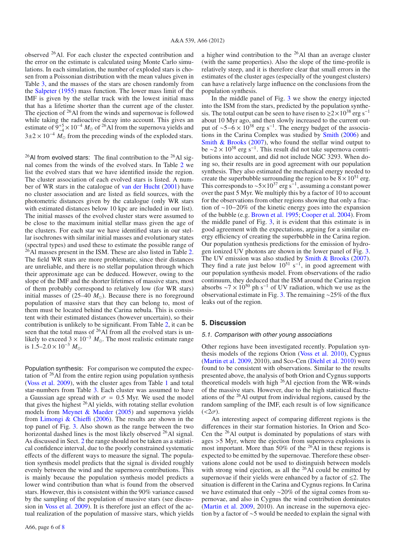observed 26Al. For each cluster the expected contribution and the error on the estimate is calculated using Monte Carlo simulations. In each simulation, the number of exploded stars is chosen from a Poissonian distribution with the mean values given in Table 3, and the masses of the stars are chosen randomly from the Salpeter (1955) mass function. The lower mass limit of the IMF is given by the stellar track with the lowest initial mass that has a lifetime shorter than the current age of the cluster. The ejection of <sup>26</sup>Al from the winds and supernovae is followed while taking the radioactive decay into account. This gives an estimate of  $9_{-4}^{+5} \times 10^{-4}$  *M*<sub>o</sub> of <sup>26</sup>Al from the supernova yields and  $3\pm2\times10^{-4}$  *M*<sub>o</sub> from the preceding winds of the exploded stars.

<sup>26</sup>Al from evolved stars: The final contribution to the <sup>26</sup>Al signal comes from the winds of the evolved stars. In Table 2 we list the evolved stars that we have identified inside the region. The cluster association of each evolved stars is listed. A number of WR stars in the catalogue of van der Hucht (2001) have no cluster association and are listed as field sources, with the photometric distances given by the catalogue (only WR stars with estimated distances below 10 kpc are included in our list). The initial masses of the evolved cluster stars were assumed to be close to the maximum initial stellar mass given the age of the clusters. For each star we have identified stars in our stellar isochrones with similar initial masses and evolutionary states (spectral types) and used these to estimate the possible range of  $^{26}$ Al masses present in the ISM. These are also listed in Table 2. The field WR stars are more problematic, since their distances are unreliable, and there is no stellar population through which their approximate age can be deduced. However, owing to the slope of the IMF and the shorter lifetimes of massive stars, most of them probably correspond to relatively low (for WR stars) initial masses of  $(25-40 M_{\odot})$ . Because there is no foreground population of massive stars that they can belong to, most of them must be located behind the Carina nebula. This is consistent with their estimated distances (however uncertain), so their contribution is unlikely to be significant. From Table 2, it can be seen that the total mass of <sup>26</sup>Al from all the evolved stars is unlikely to exceed  $3 \times 10^{-3}$  *M*<sub>o</sub>. The most realistic estimate range is  $1.5-2.0 \times 10^{-3} M_{\odot}$ .

Population synthesis: For comparison we computed the expectation of  $26$ Al from the entire region using population synthesis (Voss et al. 2009), with the cluster ages from Table 1 and total star-numbers from Table 3. Each cluster was assumed to have a Gaussian age spread with  $\sigma = 0.5$  Myr. We used the model that gives the highest 26Al yields, with rotating stellar evolution models from Meynet  $& Maeder (2005)$  and supernova yields from Limongi & Chieffi (2006). The results are shown in the top panel of Fig. 3. Also shown as the range between the two horizontal dashed lines is the most likely observed <sup>26</sup>Al signal. As discussed in Sect. 2 the range should not be taken as a statistical confidence interval, due to the poorly constrained systematic effects of the different ways to measure the signal. The population synthesis model predicts that the signal is divided roughly evenly between the wind and the supernova contributions. This is mainly because the population synthesis model predicts a lower wind contribution than what is found from the observed stars. However, this is consistent within the 90% variance caused by the sampling of the population of massive stars (see discussion in Voss et al. 2009). It is therefore just an effect of the actual realization of the population of massive stars, which yields a higher wind contribution to the 26Al than an average cluster (with the same properties). Also the slope of the time-profile is relatively steep, and it is therefore clear that small errors in the estimates of the cluster ages (especially of the youngest clusters) can have a relatively large influence on the conclusions from the population synthesis.

In the middle panel of Fig. 3 we show the energy injected into the ISM from the stars, predicted by the population synthesis. The total output can be seen to have risen to  $\gtrsim 2 \times 10^{38}$  erg s<sup>-1</sup> about 10 Myr ago, and then slowly increased to the current output of  $\sim$ 5−6  $\times$  10<sup>38</sup> erg s<sup>-1</sup>. The energy budget of the associations in the Carina Complex was studied by Smith (2006) and Smith & Brooks (2007), who found the stellar wind output to be  $\sim$ 2 × 10<sup>38</sup> erg s<sup>-1</sup>. This result did not take supernova contributions into account, and did not include NGC 3293. When doing so, their results are in good agreement with our population synthesis. They also estimated the mechanical energy needed to create the superbubble surrounding the region to be  $8 \times 10^{51}$  erg. This corresponds to  $\sim 5\times10^{37}$  erg s<sup>−1</sup>, assuming a constant power over the past 5 Myr. We multiply this by a factor of 10 to account for the observations from other regions showing that only a fraction of ∼10−20% of the kinetic energy goes into the expansion of the bubble (e.g. Brown et al. 1995; Cooper et al. 2004). From the middle panel of Fig. 3, it is evident that this estimate is in good agreement with the expectations, arguing for a similar energy efficiency of creating the superbubble in the Carina region. Our population synthesis predictions for the emission of hydrogen ionized UV photons are shown in the lower panel of Fig. 3. The UV emission was also studied by Smith  $\&$  Brooks (2007). They find a rate just below  $10^{51}$  s<sup>-1</sup>, in good agreement with our population synthesis model. From observations of the radio continuum, they deduced that the ISM around the Carina region absorbs  $\sim$ 7 × 10<sup>50</sup> ph s<sup>-1</sup> of UV radiation, which we use as the observational estimate in Fig. 3. The remaining ∼25% of the flux leaks out of the region.

### **5. Discussion**

#### 5.1. Comparison with other young associations

Other regions have been investigated recently. Population synthesis models of the regions Orion (Voss et al. 2010), Cygnus (Martin et al. 2009, 2010), and Sco-Cen (Diehl et al. 2010) were found to be consistent with observations. Similar to the results presented above, the analysis of both Orion and Cygnus supports theoretical models with high <sup>26</sup>Al ejection from the WR-winds of the massive stars. However, due to the high statistical fluctuations of the 26Al output from individual regions, caused by the random sampling of the IMF, each result is of low significance  $( $2\sigma$ ).$ 

An interesting aspect of comparing different regions is the differences in their star formation histories. In Orion and Sco-Cen the 26Al output is dominated by populations of stars with ages >5 Myr, where the ejection from supernova explosions is most important. More than 50% of the  $26$ Al in these regions is expected to be emitted by the supernovae. Therefore these observations alone could not be used to distinguish between models with strong wind ejection, as all the  $^{26}$ Al could be emitted by supernovae if their yields were enhanced by a factor of  $\leq 2$ . The situation is different in the Carina and Cygnus regions. In Carina we have estimated that only ∼20% of the signal comes from supernovae, and also in Cygnus the wind contribution dominates (Martin et al. 2009, 2010). An increase in the supernova ejection by a factor of ∼5 would be needed to explain the signal with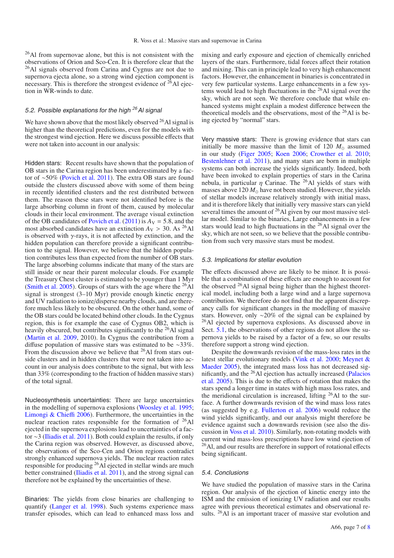26Al from supernovae alone, but this is not consistent with the observations of Orion and Sco-Cen. It is therefore clear that the 26Al signals observed from Carina and Cygnus are not due to supernova ejecta alone, so a strong wind ejection component is necessary. This is therefore the strongest evidence of  $^{26}$ Al ejection in WR-winds to date.

## 5.2. Possible explanations for the high *<sup>26</sup>*Al signal

We have shown above that the most likely observed  $^{26}$ Al signal is higher than the theoretical predictions, even for the models with the strongest wind ejection. Here we discuss possible effects that were not taken into account in our analysis:

Hidden stars: Recent results have shown that the population of OB stars in the Carina region has been underestimated by a factor of ∼50% (Povich et al. 2011). The extra OB stars are found outside the clusters discussed above with some of them being in recently identified clusters and the rest distributed between them. The reason these stars were not identified before is the large absorbing column in front of them, caused by molecular clouds in their local environment. The average visual extinction of the OB candidates of Povich et al.  $(2011)$  is  $A_V = 5.8$ , and the most absorbed candidates have an extinction  $A_V > 30$ . As <sup>26</sup>Al is observed with  $\gamma$ -rays, it is not affected by extinction, and the hidden population can therefore provide a significant contribution to the signal. However, we believe that the hidden population contributes less than expected from the number of OB stars. The large absorbing columns indicate that many of the stars are still inside or near their parent molecular clouds. For example the Treasury Chest cluster is estimated to be younger than 1 Myr (Smith et al. 2005). Groups of stars with the age where the  $^{26}$ Al signal is strongest (3–10 Myr) provide enough kinetic energy and UV radiation to ionize/disperse nearby clouds, and are therefore much less likely to be obscured. On the other hand, some of the OB stars could be located behind other clouds. In the Cygnus region, this is for example the case of Cygnus OB2, which is heavily obscured, but contributes significantly to the  $^{26}$ Al signal (Martin et al. 2009, 2010). In Cygnus the contribution from a diffuse population of massive stars was estimated to be ∼33%. From the discussion above we believe that <sup>26</sup>Al from stars outside clusters and in hidden clusters that were not taken into account in our analysis does contribute to the signal, but with less than 33% (corresponding to the fraction of hidden massive stars) of the total signal.

Nucleosynthesis uncertainties: There are large uncertainties in the modelling of supernova explosions (Woosley et al. 1995; Limongi & Chieffi 2006). Furthermore, the uncertainties in the nuclear reaction rates responsible for the formation of 26Al ejected in the supernova explosions lead to uncertainties of a factor ∼3 (Iliadis et al. 2011). Both could explain the results, if only the Carina region was observed. However, as discussed above, the observations of the Sco-Cen and Orion regions contradict strongly enhanced supernova yields. The nuclear reaction rates responsible for producing <sup>26</sup>Al ejected in stellar winds are much better constrained (Iliadis et al. 2011), and the strong signal can therefore not be explained by the uncertainties of these.

Binaries: The yields from close binaries are challenging to quantify (Langer et al. 1998). Such systems experience mass transfer episodes, which can lead to enhanced mass loss and mixing and early exposure and ejection of chemically enriched layers of the stars. Furthermore, tidal forces affect their rotation and mixing. This can in principle lead to very high enhancement factors. However, the enhancement in binaries is concentrated in very few particular systems. Large enhancements in a few systems would lead to high fluctuations in the 26Al signal over the sky, which are not seen. We therefore conclude that while enhanced systems might explain a modest difference between the theoretical models and the observations, most of the 26Al is being ejected by "normal" stars.

Very massive stars: There is growing evidence that stars can initially be more massive than the limit of 120  $M_{\odot}$  assumed in our study (Figer 2005; Koen 2006; Crowther et al. 2010; Bestenlehner et al. 2011), and many stars are born in multiple systems can both increase the yields significantly. Indeed, both have been invoked to explain properties of stars in the Carina nebula, in particular  $\eta$  Carinae. The <sup>26</sup>Al yields of stars with masses above  $120 M_{\odot}$  have not been studied. However, the yields of stellar models increase relatively strongly with initial mass, and it is therefore likely that initially very massive stars can yield several times the amount of  $^{26}$ Al given by our most massive stellar model. Similar to the binaries, Large enhancements in a few stars would lead to high fluctuations in the 26Al signal over the sky, which are not seen, so we believe that the possible contribution from such very massive stars must be modest.

#### 5.3. Implications for stellar evolution

The effects discussed above are likely to be minor. It is possible that a combination of these effects are enough to account for the observed <sup>26</sup>Al signal being higher than the highest theoretical model, including both a large wind and a large supernova contribution. We therefore do not find that the apparent discrepancy calls for significant changes in the modelling of massive stars. However, only ∼20% of the signal can be explained by 26Al ejected by supernova explosions. As discussed above in Sect. 5.1, the observations of other regions do not allow the supernova yields to be raised by a factor of a few, so our results therefore support a strong wind ejection.

Despite the downwards revision of the mass-loss rates in the latest stellar evolutionary models (Vink et al. 2000; Meynet & Maeder 2005), the integrated mass loss has not decreased significantly, and the 26Al ejection has actually increased (Palacios et al. 2005). This is due to the effects of rotation that makes the stars spend a longer time in states with high mass loss rates, and the meridional circulation is increased, lifting 26Al to the surface. A further downwards revision of the wind mass loss rates (as suggested by e.g. Fullerton et al. 2006) would reduce the wind yields significantly, and our analysis might therefore be evidence against such a downwards revision (see also the discussion in Voss et al. 2010). Similarly, non-rotating models with current wind mass-loss prescriptions have low wind ejection of <sup>26</sup>Al, and our results are therefore in support of rotational effects being significant.

#### 5.4. Conclusions

We have studied the population of massive stars in the Carina region. Our analysis of the ejection of kinetic energy into the ISM and the emission of ionizing UV radiation and our results agree with previous theoretical estimates and observational results. <sup>26</sup>Al is an important tracer of massive star evolution and